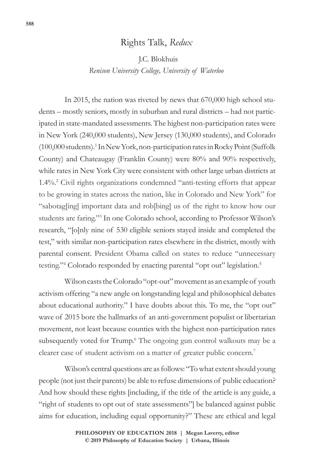## Rights Talk, *Redux*

J.C. Blokhuis

*Renison University College, University of Waterloo*

In 2015, the nation was riveted by news that 670,000 high school students – mostly seniors, mostly in suburban and rural districts – had not participated in state-mandated assessments. The highest non-participation rates were in New York (240,000 students), New Jersey (130,000 students), and Colorado (100,000 students).1 In New York, non-participation rates in Rocky Point (Suffolk County) and Chateaugay (Franklin County) were 80% and 90% respectively, while rates in New York City were consistent with other large urban districts at 1.4%.2 Civil rights organizations condemned "anti-testing efforts that appear to be growing in states across the nation, like in Colorado and New York" for "sabotag[ing] important data and rob[bing] us of the right to know how our students are faring."3 In one Colorado school, according to Professor Wilson's research, "[o]nly nine of 530 eligible seniors stayed inside and completed the test," with similar non-participation rates elsewhere in the district, mostly with parental consent. President Obama called on states to reduce "unnecessary testing."<sup>4</sup> Colorado responded by enacting parental "opt out" legislation.<sup>5</sup>

Wilson casts the Colorado "opt-out" movement as an example of youth activism offering "a new angle on longstanding legal and philosophical debates about educational authority." I have doubts about this. To me, the "opt out" wave of 2015 bore the hallmarks of an anti-government populist or libertarian movement, not least because counties with the highest non-participation rates subsequently voted for Trump.<sup>6</sup> The ongoing gun control walkouts may be a clearer case of student activism on a matter of greater public concern.<sup>7</sup>

Wilson's central questions are as follows: "To what extent should young people (not just their parents) be able to refuse dimensions of public education? And how should these rights [including, if the title of the article is any guide, a "right of students to opt out of state assessments"] be balanced against public aims for education, including equal opportunity?" These are ethical and legal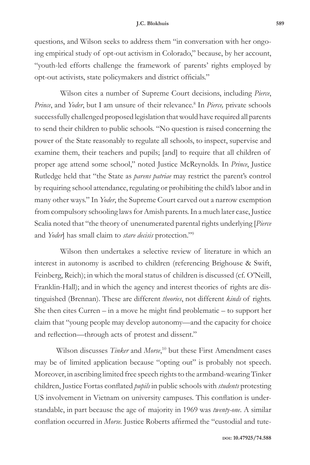questions, and Wilson seeks to address them "in conversation with her ongoing empirical study of opt-out activism in Colorado," because, by her account, "youth-led efforts challenge the framework of parents' rights employed by opt-out activists, state policymakers and district officials."

Wilson cites a number of Supreme Court decisions, including *Pierce*, Prince, and *Yoder*, but I am unsure of their relevance.<sup>8</sup> In *Pierce*, private schools successfully challenged proposed legislation that would have required all parents to send their children to public schools. "No question is raised concerning the power of the State reasonably to regulate all schools, to inspect, supervise and examine them, their teachers and pupils; [and] to require that all children of proper age attend some school," noted Justice McReynolds. In *Prince*, Justice Rutledge held that "the State as *parens patriae* may restrict the parent's control by requiring school attendance, regulating or prohibiting the child's labor and in many other ways." In *Yoder*, the Supreme Court carved out a narrow exemption from compulsory schooling laws for Amish parents. In a much later case, Justice Scalia noted that "the theory of unenumerated parental rights underlying [*Pierce*  and *Yoder*] has small claim to *stare decisis* protection."9

Wilson then undertakes a selective review of literature in which an interest in autonomy is ascribed to children (referencing Brighouse & Swift, Feinberg, Reich); in which the moral status of children is discussed (cf. O'Neill, Franklin-Hall); and in which the agency and interest theories of rights are distinguished (Brennan). These are different *theories*, not different *kinds* of rights. She then cites Curren – in a move he might find problematic – to support her claim that "young people may develop autonomy—and the capacity for choice and reflection—through acts of protest and dissent."

Wilson discusses *Tinker* and *Morse*, <sup>10</sup> but these First Amendment cases may be of limited application because "opting out" is probably not speech. Moreover, in ascribing limited free speech rights to the armband-wearing Tinker children, Justice Fortas conflated *pupils* in public schools with *students* protesting US involvement in Vietnam on university campuses. This conflation is understandable, in part because the age of majority in 1969 was *twenty-one*. A similar conflation occurred in *Morse.* Justice Roberts affirmed the "custodial and tute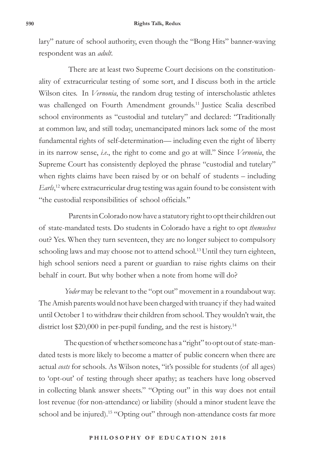lary" nature of school authority, even though the "Bong Hits" banner-waving respondent was an *adult*.

There are at least two Supreme Court decisions on the constitutionality of extracurricular testing of some sort, and I discuss both in the article Wilson cites. In *Vernonia*, the random drug testing of interscholastic athletes was challenged on Fourth Amendment grounds.11 Justice Scalia described school environments as "custodial and tutelary" and declared: "Traditionally at common law, and still today, unemancipated minors lack some of the most fundamental rights of self-determination— including even the right of liberty in its narrow sense, *i.e*., the right to come and go at will." Since *Vernonia*, the Supreme Court has consistently deployed the phrase "custodial and tutelary" when rights claims have been raised by or on behalf of students – including *Earls*, 12 where extracurricular drug testing was again found to be consistent with "the custodial responsibilities of school officials."

Parents in Colorado now have a statutory right to opt their children out of state-mandated tests. Do students in Colorado have a right to opt *themselves*  out? Yes. When they turn seventeen, they are no longer subject to compulsory schooling laws and may choose not to attend school.<sup>13</sup> Until they turn eighteen, high school seniors need a parent or guardian to raise rights claims on their behalf in court. But why bother when a note from home will do?

*Yoder* may be relevant to the "opt out" movement in a roundabout way. The Amish parentswould not have been charged with truancy if they had waited until October 1 to withdraw their children from school. They wouldn't wait, the district lost \$20,000 in per-pupil funding, and the rest is history.<sup>14</sup>

The question of whether someone has a "right" to opt out of state-mandated tests is more likely to become a matter of public concern when there are actual *costs* for schools. As Wilson notes, "it's possible for students (of all ages) to 'opt-out' of testing through sheer apathy; as teachers have long observed in collecting blank answer sheets." "Opting out" in this way does not entail lost revenue (for non-attendance) or liability (should a minor student leave the school and be injured).<sup>15</sup> "Opting out" through non-attendance costs far more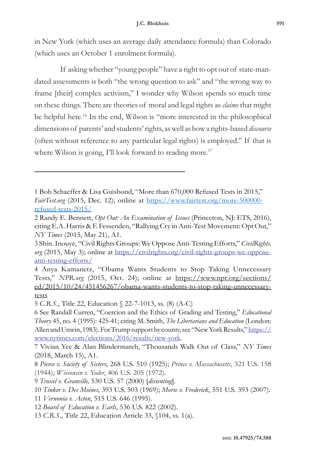in New York (which uses an average daily attendance formula) than Colorado (which uses an October 1 enrolment formula).

If asking whether "young people" have a right to opt out of state-mandated assessments is both "the wrong question to ask" and "the wrong way to frame [their] complex activism," I wonder why Wilson spends so much time on these things. There are theories of moral and legal rights as *claims* that might be helpful here.<sup>16</sup> In the end, Wilson is "more interested in the philosophical dimensions of parents' and students' rights, as well as how a rights-based *discourse*  (often without reference to any particular legal rights) is employed." If that is where Wilson is going, I'll look forward to reading more.<sup>17</sup>

<sup>1</sup> Bob Schaeffer & Lisa Guisbond, "More than 670,000 Refused Tests in 2015," *FairTest.org* (2015, Dec. 12); online at https://www.fairtest.org/more-500000refused-tests-2015/

<sup>2</sup> Randy E. Bennett, *Opt Out: An Examination of Issues* (Princeton, NJ: ETS, 2016), citing E.A. Harris & F. Fessenden, "Rallying Cry in Anti-Test Movement: Opt Out," *NY Times* (2015, May 21), A1.

<sup>3</sup> Shin. Inouye, "Civil Rights Groups: We Oppose Anti-Testing Efforts," *CivilRights. org* (2015, May 3); online at https://civilrights.org/civil-rights-groups-we-opposeanti-testing-efforts/

<sup>4</sup> Anya Kamanetz, "Obama Wants Students to Stop Taking Unnecessary Tests," *NPR.org* (2015, Oct. 24); online at https://www.npr.org/sections/ ed/2015/10/24/451456267/obama-wants-students-to-stop-taking-unnecessarytests

<sup>5</sup> *C.R.S.*, Title 22, Education § 22-7-1013, ss. (8) (A-C)

<sup>6</sup> See Randall Curren, "Coercion and the Ethics of Grading and Testing," *Educational Theory* 45, no. 4 (1995): 425-41; citing M. Smith, *The Libertarians and Education* (London: Allen and Unwin, 1983). For Trump support by county, see "New York Results," https:// www.nytimes.com/elections/2016/results/new-york.

<sup>7</sup> Vivian Yee & Alan Blindermarch, "Thousands Walk Out of Class," *NY Times*  (2018, March 15), A1.

<sup>8</sup> *Pierce v. Society of Sisters*, 268 U.S. 510 (1925); *Prince v. Massachusetts*, 321 U.S. 158 (1944); *Wisconsin v. Yoder*, 406 U.S. 205 (1972).

<sup>9</sup> *Troxel v. Granville,* 530 U.S. 57 (2000) [*dissenting*].

<sup>10</sup> *Tinker v. Des Moines*, 393 U.S. 503 (1969); *Morse v. Frederick*, 551 U.S. 393 (2007).

<sup>11</sup> *Vernonia v. Acton*, 515 U.S. 646 (1995).

<sup>12</sup> *Board of Education v. Earls*, 536 U.S. 822 (2002).

<sup>13</sup> *C.R.S.*, Title 22, Education Article 33, §104, ss. 1(a).